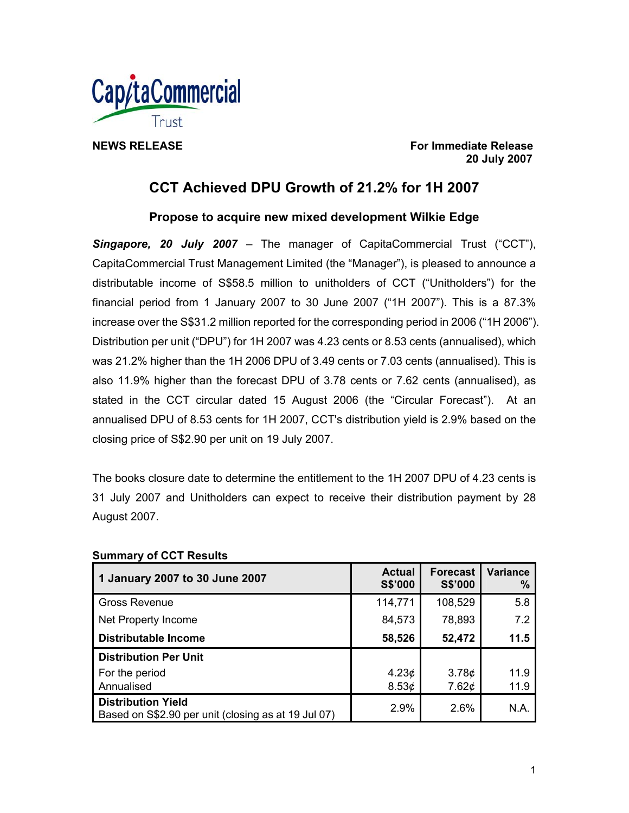

**NEWS RELEASE For Immediate Release 20 July 2007** 

# **CCT Achieved DPU Growth of 21.2% for 1H 2007**

**Propose to acquire new mixed development Wilkie Edge** 

*Singapore, 20 July 2007* – The manager of CapitaCommercial Trust ("CCT"), CapitaCommercial Trust Management Limited (the "Manager"), is pleased to announce a distributable income of S\$58.5 million to unitholders of CCT ("Unitholders") for the financial period from 1 January 2007 to 30 June 2007 ("1H 2007"). This is a 87.3% increase over the S\$31.2 million reported for the corresponding period in 2006 ("1H 2006"). Distribution per unit ("DPU") for 1H 2007 was 4.23 cents or 8.53 cents (annualised), which was 21.2% higher than the 1H 2006 DPU of 3.49 cents or 7.03 cents (annualised). This is also 11.9% higher than the forecast DPU of 3.78 cents or 7.62 cents (annualised), as stated in the CCT circular dated 15 August 2006 (the "Circular Forecast"). At an annualised DPU of 8.53 cents for 1H 2007, CCT's distribution yield is 2.9% based on the closing price of S\$2.90 per unit on 19 July 2007.

The books closure date to determine the entitlement to the 1H 2007 DPU of 4.23 cents is 31 July 2007 and Unitholders can expect to receive their distribution payment by 28 August 2007.

| 1 January 2007 to 30 June 2007                                                   | <b>Actual</b><br>S\$'000 | <b>Forecast</b><br>S\$'000 | <b>Variance</b><br>% |
|----------------------------------------------------------------------------------|--------------------------|----------------------------|----------------------|
| <b>Gross Revenue</b>                                                             | 114,771                  | 108,529                    | 5.8                  |
| Net Property Income                                                              | 84,573                   | 78,893                     | 7.2                  |
| <b>Distributable Income</b>                                                      | 58,526                   | 52,472                     | 11.5                 |
| <b>Distribution Per Unit</b>                                                     |                          |                            |                      |
| For the period                                                                   | 4.23 <sub>¢</sub>        | 3.78¢                      | 11.9                 |
| Annualised                                                                       | 8.53¢                    | 7.62¢                      | 11.9                 |
| <b>Distribution Yield</b><br>Based on S\$2.90 per unit (closing as at 19 Jul 07) | 2.9%                     | 2.6%                       | N.A.                 |

## **Summary of CCT Results**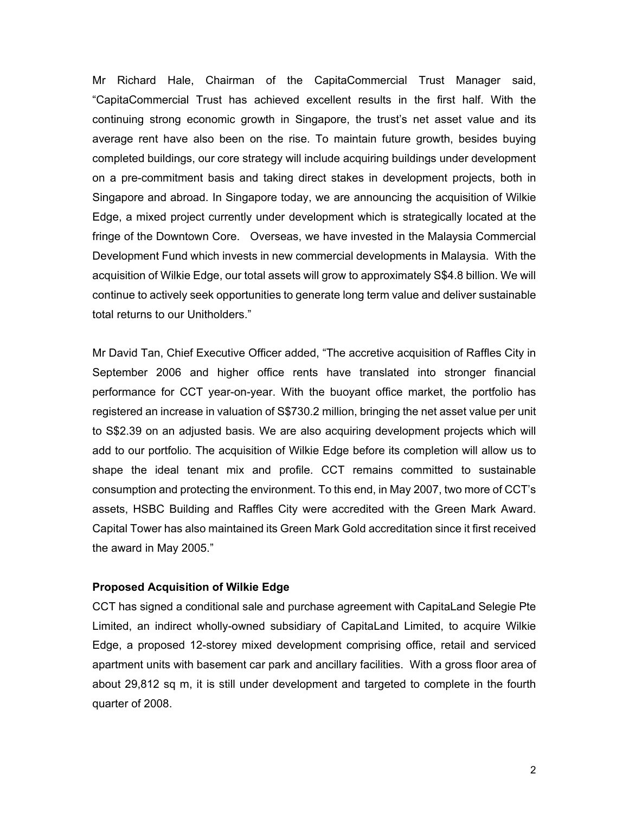Mr Richard Hale, Chairman of the CapitaCommercial Trust Manager said, "CapitaCommercial Trust has achieved excellent results in the first half. With the continuing strong economic growth in Singapore, the trust's net asset value and its average rent have also been on the rise. To maintain future growth, besides buying completed buildings, our core strategy will include acquiring buildings under development on a pre-commitment basis and taking direct stakes in development projects, both in Singapore and abroad. In Singapore today, we are announcing the acquisition of Wilkie Edge, a mixed project currently under development which is strategically located at the fringe of the Downtown Core. Overseas, we have invested in the Malaysia Commercial Development Fund which invests in new commercial developments in Malaysia. With the acquisition of Wilkie Edge, our total assets will grow to approximately S\$4.8 billion. We will continue to actively seek opportunities to generate long term value and deliver sustainable total returns to our Unitholders."

Mr David Tan, Chief Executive Officer added, "The accretive acquisition of Raffles City in September 2006 and higher office rents have translated into stronger financial performance for CCT year-on-year. With the buoyant office market, the portfolio has registered an increase in valuation of S\$730.2 million, bringing the net asset value per unit to S\$2.39 on an adjusted basis. We are also acquiring development projects which will add to our portfolio. The acquisition of Wilkie Edge before its completion will allow us to shape the ideal tenant mix and profile. CCT remains committed to sustainable consumption and protecting the environment. To this end, in May 2007, two more of CCT's assets, HSBC Building and Raffles City were accredited with the Green Mark Award. Capital Tower has also maintained its Green Mark Gold accreditation since it first received the award in May 2005."

#### **Proposed Acquisition of Wilkie Edge**

CCT has signed a conditional sale and purchase agreement with CapitaLand Selegie Pte Limited, an indirect wholly-owned subsidiary of CapitaLand Limited, to acquire Wilkie Edge, a proposed 12-storey mixed development comprising office, retail and serviced apartment units with basement car park and ancillary facilities. With a gross floor area of about 29,812 sq m, it is still under development and targeted to complete in the fourth quarter of 2008.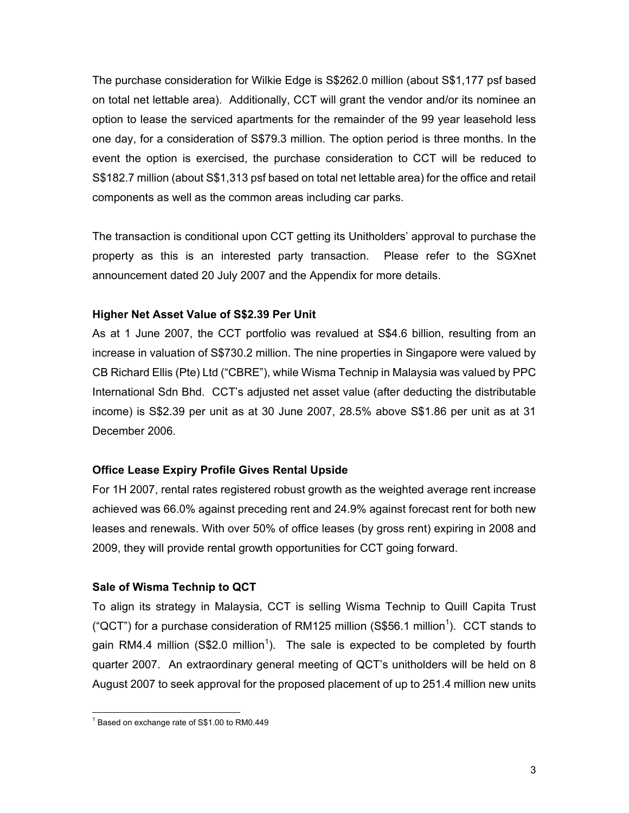The purchase consideration for Wilkie Edge is S\$262.0 million (about S\$1,177 psf based on total net lettable area). Additionally, CCT will grant the vendor and/or its nominee an option to lease the serviced apartments for the remainder of the 99 year leasehold less one day, for a consideration of S\$79.3 million. The option period is three months. In the event the option is exercised, the purchase consideration to CCT will be reduced to S\$182.7 million (about S\$1,313 psf based on total net lettable area) for the office and retail components as well as the common areas including car parks.

The transaction is conditional upon CCT getting its Unitholders' approval to purchase the property as this is an interested party transaction. Please refer to the SGXnet announcement dated 20 July 2007 and the Appendix for more details.

## **Higher Net Asset Value of S\$2.39 Per Unit**

As at 1 June 2007, the CCT portfolio was revalued at S\$4.6 billion, resulting from an increase in valuation of S\$730.2 million. The nine properties in Singapore were valued by CB Richard Ellis (Pte) Ltd ("CBRE"), while Wisma Technip in Malaysia was valued by PPC International Sdn Bhd. CCT's adjusted net asset value (after deducting the distributable income) is S\$2.39 per unit as at 30 June 2007, 28.5% above S\$1.86 per unit as at 31 December 2006.

## **Office Lease Expiry Profile Gives Rental Upside**

For 1H 2007, rental rates registered robust growth as the weighted average rent increase achieved was 66.0% against preceding rent and 24.9% against forecast rent for both new leases and renewals. With over 50% of office leases (by gross rent) expiring in 2008 and 2009, they will provide rental growth opportunities for CCT going forward.

## **Sale of Wisma Technip to QCT**

To align its strategy in Malaysia, CCT is selling Wisma Technip to Quill Capita Trust ("QCT") for a purchase consideration of RM125 million (S\$56.1 million<sup>1</sup>). CCT stands to gain RM4.4 million (S\$2.0 million<sup>1</sup>). The sale is expected to be completed by fourth quarter 2007. An extraordinary general meeting of QCT's unitholders will be held on 8 August 2007 to seek approval for the proposed placement of up to 251.4 million new units

<sup>1&</sup>lt;br><sup>1</sup> Based on exchange rate of S\$1.00 to RM0.449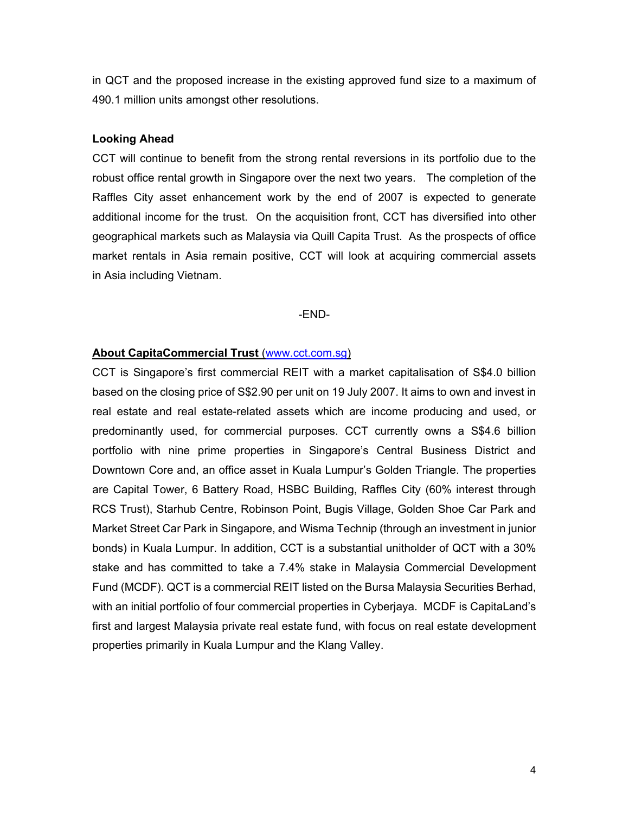in QCT and the proposed increase in the existing approved fund size to a maximum of 490.1 million units amongst other resolutions.

#### **Looking Ahead**

CCT will continue to benefit from the strong rental reversions in its portfolio due to the robust office rental growth in Singapore over the next two years. The completion of the Raffles City asset enhancement work by the end of 2007 is expected to generate additional income for the trust. On the acquisition front, CCT has diversified into other geographical markets such as Malaysia via Quill Capita Trust. As the prospects of office market rentals in Asia remain positive, CCT will look at acquiring commercial assets in Asia including Vietnam.

-END-

## **About CapitaCommercial Trust** (www.cct.com.sg)

CCT is Singapore's first commercial REIT with a market capitalisation of S\$4.0 billion based on the closing price of S\$2.90 per unit on 19 July 2007. It aims to own and invest in real estate and real estate-related assets which are income producing and used, or predominantly used, for commercial purposes. CCT currently owns a S\$4.6 billion portfolio with nine prime properties in Singapore's Central Business District and Downtown Core and, an office asset in Kuala Lumpur's Golden Triangle. The properties are Capital Tower, 6 Battery Road, HSBC Building, Raffles City (60% interest through RCS Trust), Starhub Centre, Robinson Point, Bugis Village, Golden Shoe Car Park and Market Street Car Park in Singapore, and Wisma Technip (through an investment in junior bonds) in Kuala Lumpur. In addition, CCT is a substantial unitholder of QCT with a 30% stake and has committed to take a 7.4% stake in Malaysia Commercial Development Fund (MCDF). QCT is a commercial REIT listed on the Bursa Malaysia Securities Berhad, with an initial portfolio of four commercial properties in Cyberjaya. MCDF is CapitaLand's first and largest Malaysia private real estate fund, with focus on real estate development properties primarily in Kuala Lumpur and the Klang Valley.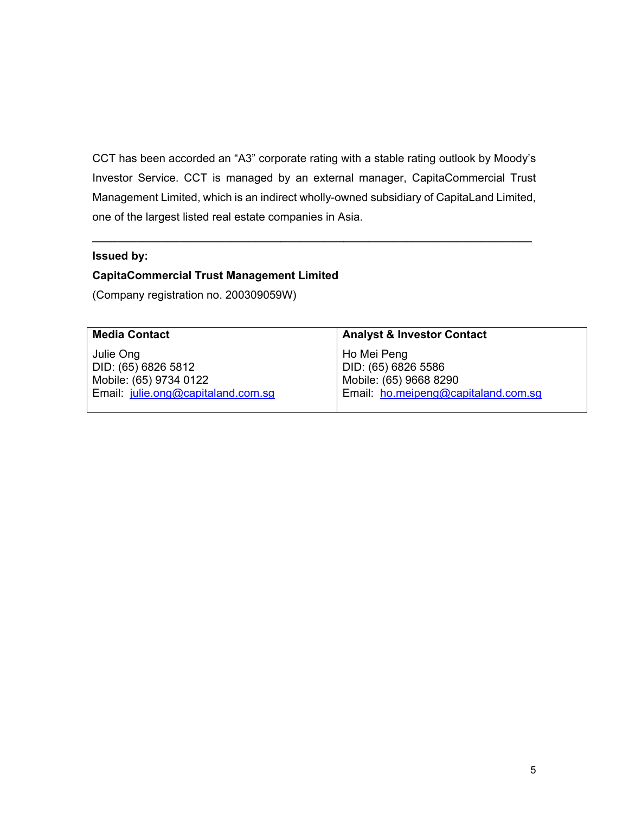CCT has been accorded an "A3" corporate rating with a stable rating outlook by Moody's Investor Service. CCT is managed by an external manager, CapitaCommercial Trust Management Limited, which is an indirect wholly-owned subsidiary of CapitaLand Limited, one of the largest listed real estate companies in Asia.

**\_\_\_\_\_\_\_\_\_\_\_\_\_\_\_\_\_\_\_\_\_\_\_\_\_\_\_\_\_\_\_\_\_\_\_\_\_\_\_\_\_\_\_\_\_\_\_\_\_\_\_\_\_\_\_\_\_\_\_\_\_\_\_\_\_\_\_\_\_\_** 

#### **Issued by:**

# **CapitaCommercial Trust Management Limited**

(Company registration no. 200309059W)

| <b>Media Contact</b>               | <b>Analyst &amp; Investor Contact</b> |
|------------------------------------|---------------------------------------|
| Julie Ong                          | Ho Mei Peng                           |
| DID: (65) 6826 5812                | DID: (65) 6826 5586                   |
| Mobile: (65) 9734 0122             | Mobile: (65) 9668 8290                |
| Email: julie.ong@capitaland.com.sq | Email: ho.meipeng@capitaland.com.sq   |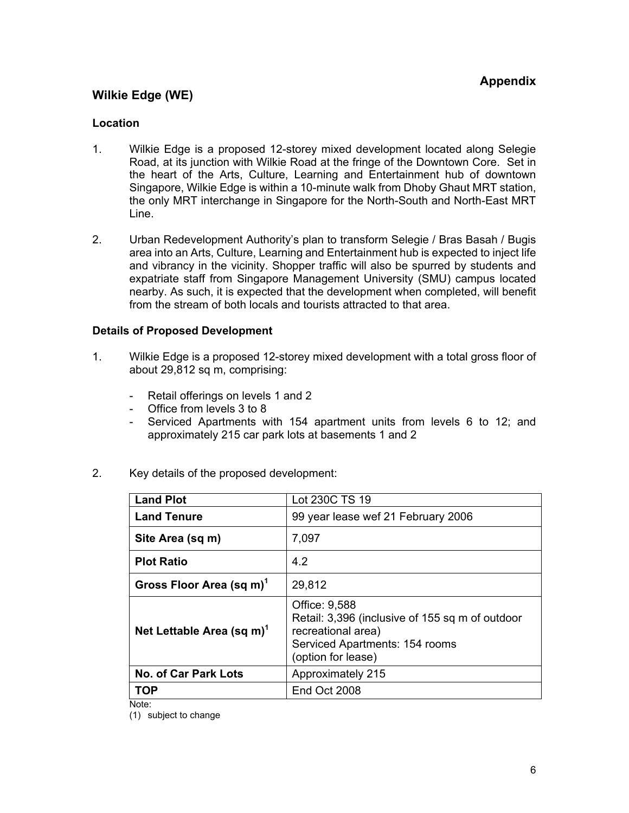## **Appendix**

# **Wilkie Edge (WE)**

#### **Location**

- 1. Wilkie Edge is a proposed 12-storey mixed development located along Selegie Road, at its junction with Wilkie Road at the fringe of the Downtown Core. Set in the heart of the Arts, Culture, Learning and Entertainment hub of downtown Singapore, Wilkie Edge is within a 10-minute walk from Dhoby Ghaut MRT station, the only MRT interchange in Singapore for the North-South and North-East MRT Line.
- 2. Urban Redevelopment Authority's plan to transform Selegie / Bras Basah / Bugis area into an Arts, Culture, Learning and Entertainment hub is expected to inject life and vibrancy in the vicinity. Shopper traffic will also be spurred by students and expatriate staff from Singapore Management University (SMU) campus located nearby. As such, it is expected that the development when completed, will benefit from the stream of both locals and tourists attracted to that area.

#### **Details of Proposed Development**

- 1. Wilkie Edge is a proposed 12-storey mixed development with a total gross floor of about 29,812 sq m, comprising:
	- Retail offerings on levels 1 and 2
	- Office from levels 3 to 8
	- Serviced Apartments with 154 apartment units from levels 6 to 12; and approximately 215 car park lots at basements 1 and 2
- 2. Key details of the proposed development:

| <b>Land Plot</b>                      | Lot 230C TS 19                                                                                                                                 |
|---------------------------------------|------------------------------------------------------------------------------------------------------------------------------------------------|
| <b>Land Tenure</b>                    | 99 year lease wef 21 February 2006                                                                                                             |
| Site Area (sq m)                      | 7,097                                                                                                                                          |
| <b>Plot Ratio</b>                     | 4.2                                                                                                                                            |
| Gross Floor Area (sq m) <sup>1</sup>  | 29,812                                                                                                                                         |
| Net Lettable Area (sq m) <sup>1</sup> | Office: 9,588<br>Retail: 3,396 (inclusive of 155 sq m of outdoor<br>recreational area)<br>Serviced Apartments: 154 rooms<br>(option for lease) |
| <b>No. of Car Park Lots</b>           | Approximately 215                                                                                                                              |
| <b>TOP</b>                            | End Oct 2008                                                                                                                                   |

Note:

(1) subject to change